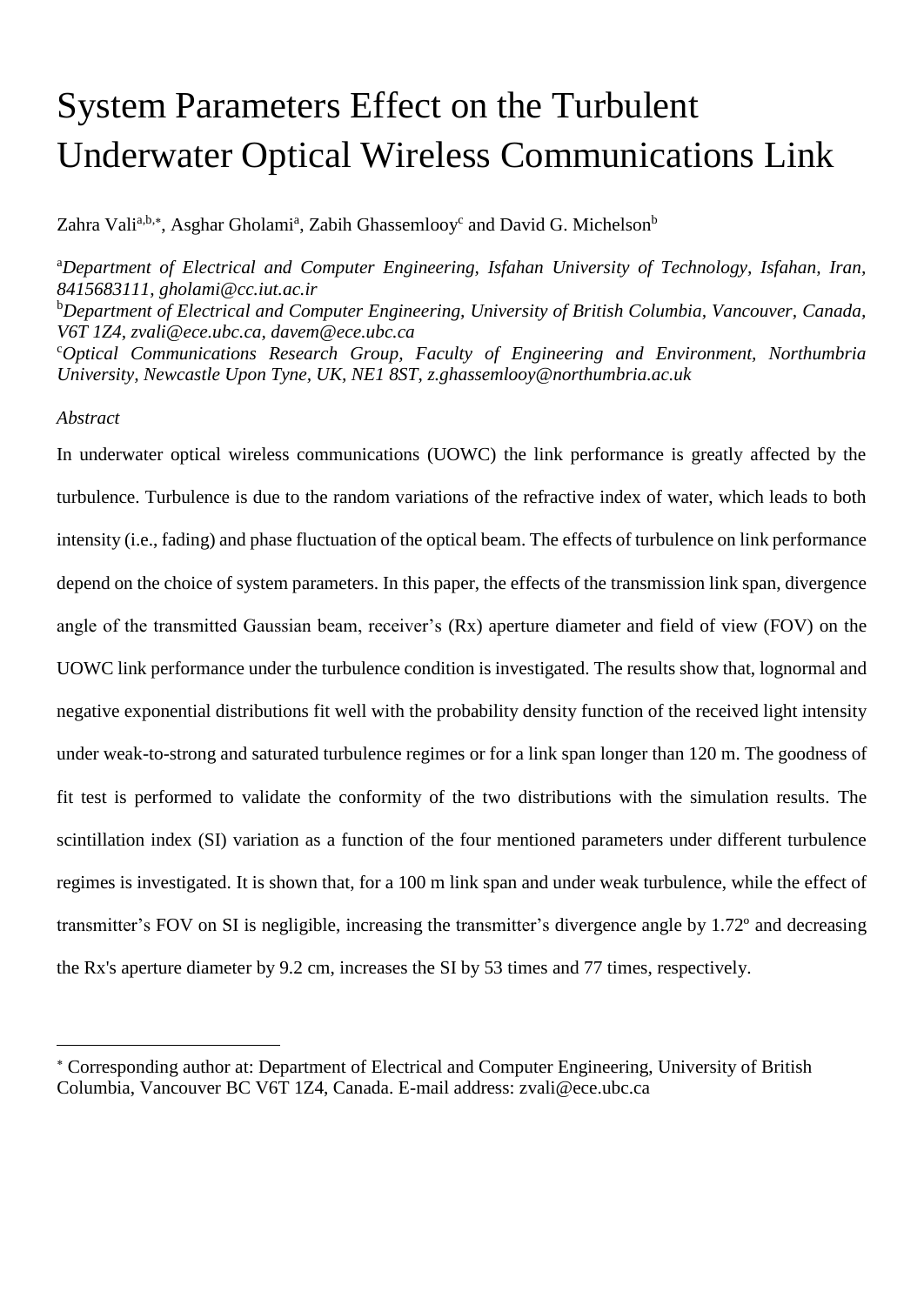# System Parameters Effect on the Turbulent Underwater Optical Wireless Communications Link

Zahra Vali<sup>a,b,\*</sup>, Asghar Gholami<sup>a</sup>, Zabih Ghassemlooy<sup>c</sup> and David G. Michelson<sup>b</sup>

<sup>a</sup>*Department of Electrical and Computer Engineering, Isfahan University of Technology, Isfahan, Iran, 8415683111, gholami@cc.iut.ac.ir*

<sup>b</sup>*Department of Electrical and Computer Engineering, University of British Columbia, Vancouver, Canada, V6T 1Z4, zvali@ece.ubc.ca, davem@ece.ubc.ca*

<sup>c</sup>*Optical Communications Research Group, Faculty of Engineering and Environment, Northumbria University, Newcastle Upon Tyne, UK, NE1 8ST, z.ghassemlooy@northumbria.ac.uk*

## *Abstract*

 $\overline{a}$ 

In underwater optical wireless communications (UOWC) the link performance is greatly affected by the turbulence. Turbulence is due to the random variations of the refractive index of water, which leads to both intensity (i.e., fading) and phase fluctuation of the optical beam. The effects of turbulence on link performance depend on the choice of system parameters. In this paper, the effects of the transmission link span, divergence angle of the transmitted Gaussian beam, receiver's (Rx) aperture diameter and field of view (FOV) on the UOWC link performance under the turbulence condition is investigated. The results show that, lognormal and negative exponential distributions fit well with the probability density function of the received light intensity under weak-to-strong and saturated turbulence regimes or for a link span longer than 120 m. The goodness of fit test is performed to validate the conformity of the two distributions with the simulation results. The scintillation index (SI) variation as a function of the four mentioned parameters under different turbulence regimes is investigated. It is shown that, for a 100 m link span and under weak turbulence, while the effect of transmitter's FOV on SI is negligible, increasing the transmitter's divergence angle by 1.72º and decreasing the Rx's aperture diameter by 9.2 cm, increases the SI by 53 times and 77 times, respectively.

Corresponding author at: Department of Electrical and Computer Engineering, University of British Columbia, Vancouver BC V6T 1Z4, Canada. E-mail address: zvali@ece.ubc.ca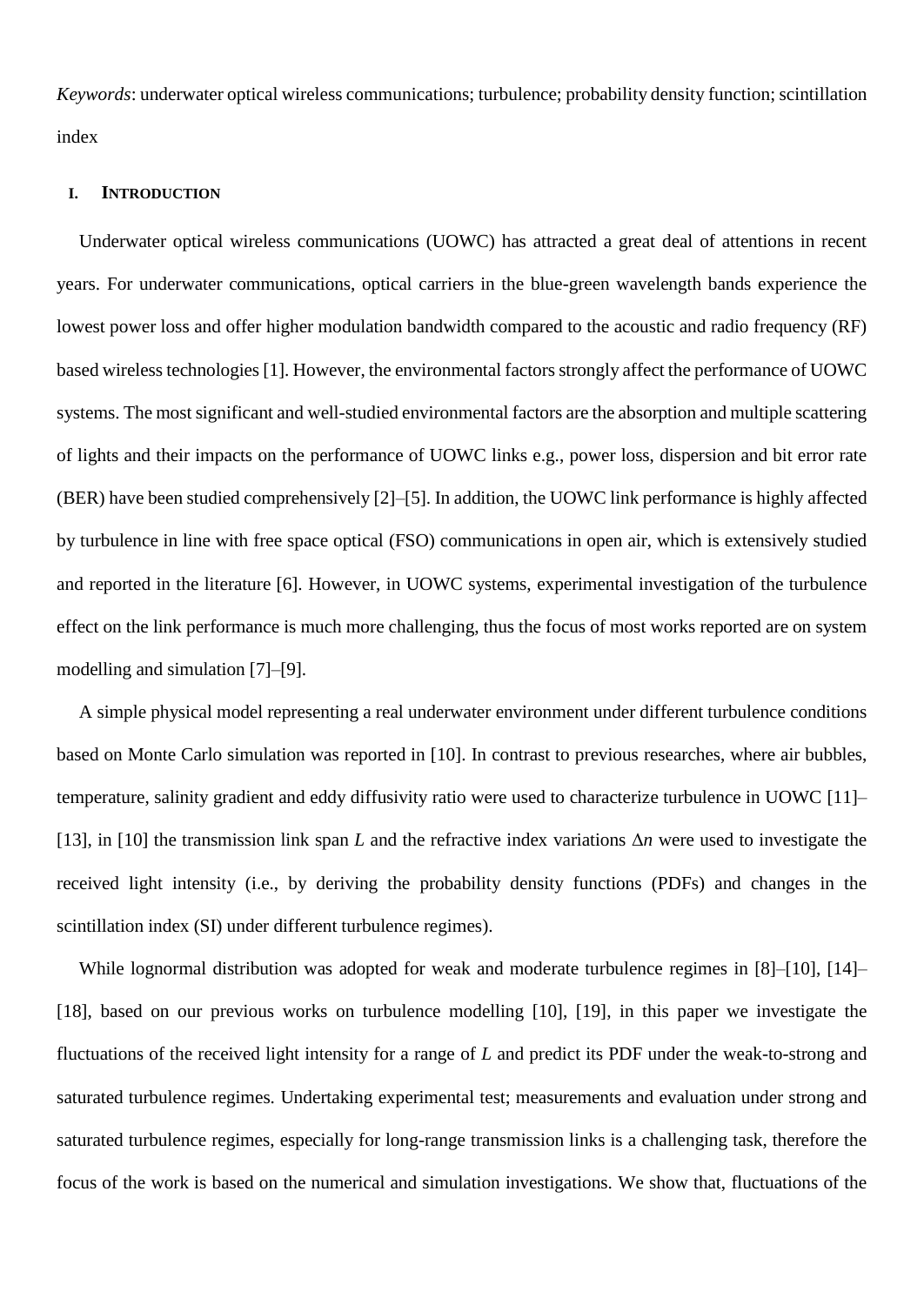*Keywords*: underwater optical wireless communications; turbulence; probability density function; scintillation index

#### **I. INTRODUCTION**

Underwater optical wireless communications (UOWC) has attracted a great deal of attentions in recent years. For underwater communications, optical carriers in the blue-green wavelength bands experience the lowest power loss and offer higher modulation bandwidth compared to the acoustic and radio frequency (RF) based wireless technologies[1]. However, the environmental factors strongly affect the performance of UOWC systems. The most significant and well-studied environmental factors are the absorption and multiple scattering of lights and their impacts on the performance of UOWC links e.g., power loss, dispersion and bit error rate (BER) have been studied comprehensively [2]–[5]. In addition, the UOWC link performance is highly affected by turbulence in line with free space optical (FSO) communications in open air, which is extensively studied and reported in the literature [6]. However, in UOWC systems, experimental investigation of the turbulence effect on the link performance is much more challenging, thus the focus of most works reported are on system modelling and simulation [7]–[9].

A simple physical model representing a real underwater environment under different turbulence conditions based on Monte Carlo simulation was reported in [10]. In contrast to previous researches, where air bubbles, temperature, salinity gradient and eddy diffusivity ratio were used to characterize turbulence in UOWC [11]– [13], in [10] the transmission link span *L* and the refractive index variations Δ*n* were used to investigate the received light intensity (i.e., by deriving the probability density functions (PDFs) and changes in the scintillation index (SI) under different turbulence regimes).

While lognormal distribution was adopted for weak and moderate turbulence regimes in [8]–[10], [14]– [18], based on our previous works on turbulence modelling [10], [19], in this paper we investigate the fluctuations of the received light intensity for a range of *L* and predict its PDF under the weak-to-strong and saturated turbulence regimes. Undertaking experimental test; measurements and evaluation under strong and saturated turbulence regimes, especially for long-range transmission links is a challenging task, therefore the focus of the work is based on the numerical and simulation investigations. We show that, fluctuations of the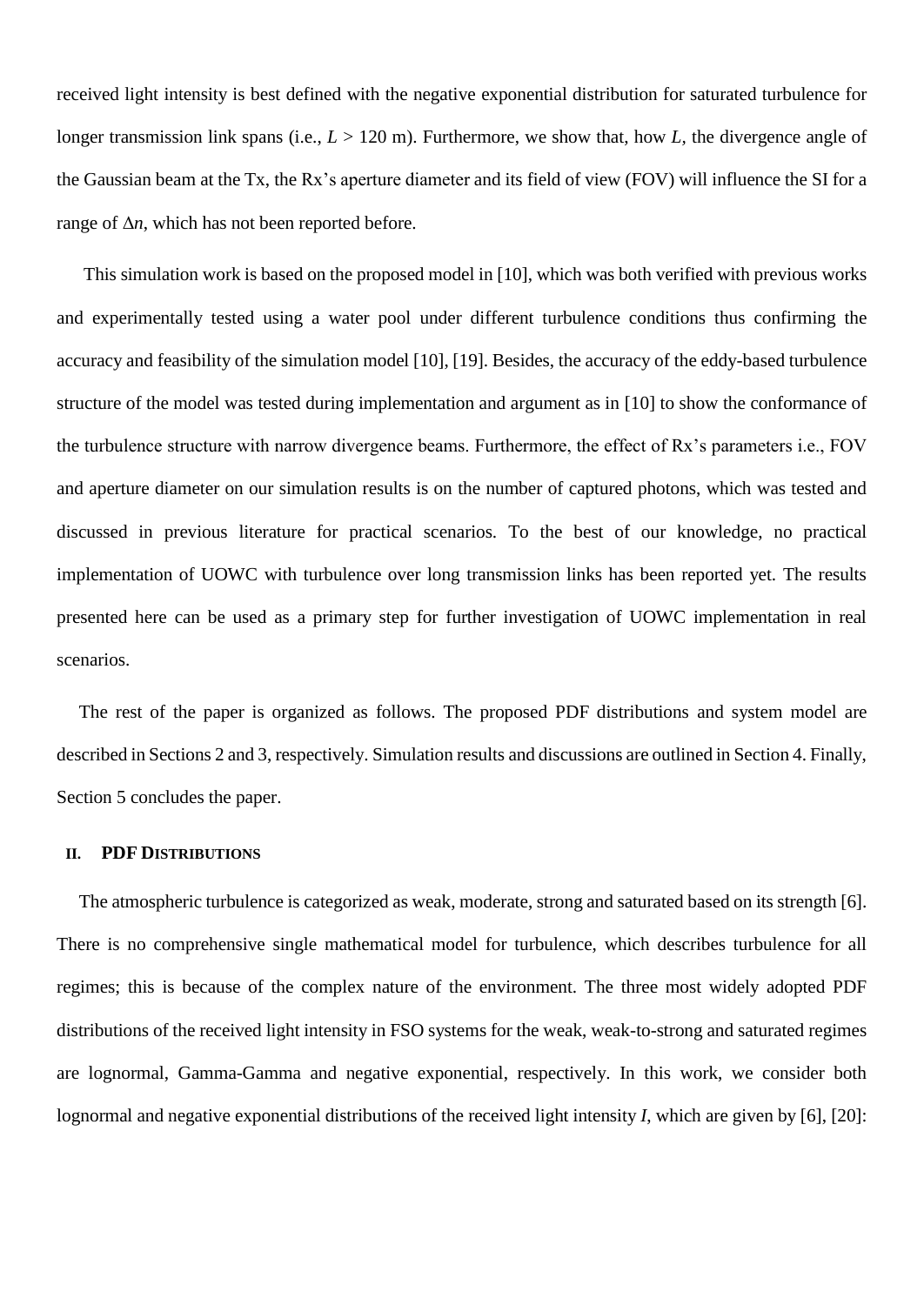received light intensity is best defined with the negative exponential distribution for saturated turbulence for longer transmission link spans (i.e.,  $L > 120$  m). Furthermore, we show that, how *L*, the divergence angle of the Gaussian beam at the Tx, the Rx's aperture diameter and its field of view (FOV) will influence the SI for a range of Δ*n*, which has not been reported before.

This simulation work is based on the proposed model in [10], which was both verified with previous works and experimentally tested using a water pool under different turbulence conditions thus confirming the accuracy and feasibility of the simulation model [10], [19]. Besides, the accuracy of the eddy-based turbulence structure of the model was tested during implementation and argument as in [10] to show the conformance of the turbulence structure with narrow divergence beams. Furthermore, the effect of Rx's parameters i.e., FOV and aperture diameter on our simulation results is on the number of captured photons, which was tested and discussed in previous literature for practical scenarios. To the best of our knowledge, no practical implementation of UOWC with turbulence over long transmission links has been reported yet. The results presented here can be used as a primary step for further investigation of UOWC implementation in real scenarios.

The rest of the paper is organized as follows. The proposed PDF distributions and system model are described in Sections 2 and 3, respectively. Simulation results and discussions are outlined in Section 4. Finally, Section 5 concludes the paper.

#### **II. PDF DISTRIBUTIONS**

The atmospheric turbulence is categorized as weak, moderate, strong and saturated based on its strength [6]. There is no comprehensive single mathematical model for turbulence, which describes turbulence for all regimes; this is because of the complex nature of the environment. The three most widely adopted PDF distributions of the received light intensity in FSO systems for the weak, weak-to-strong and saturated regimes are lognormal, Gamma-Gamma and negative exponential, respectively. In this work, we consider both lognormal and negative exponential distributions of the received light intensity *I*, which are given by [6], [20]: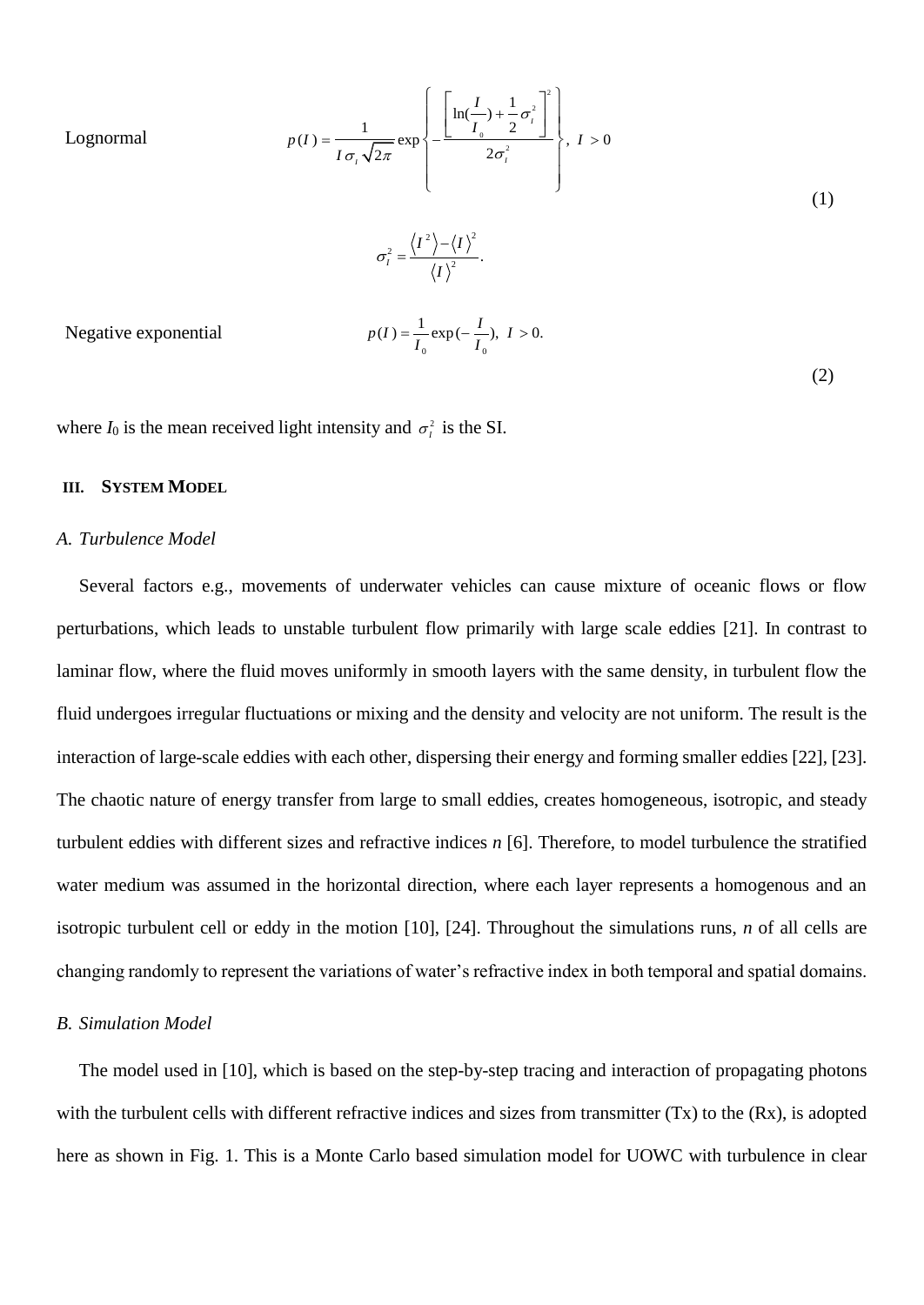Lognormal

$$
p(I) = \frac{1}{I\sigma_{I}\sqrt{2\pi}} \exp\left\{-\frac{\left[\ln\left(\frac{I}{I_{0}}\right) + \frac{1}{2}\sigma_{I}^{2}\right]^{2}}{2\sigma_{I}^{2}}\right\}, I > 0
$$
\n
$$
\sigma_{I}^{2} = \frac{\langle I^{2} \rangle - \langle I \rangle^{2}}{\langle I \rangle^{2}}.
$$
\n
$$
p(I) = \frac{1}{I_{0}} \exp\left(-\frac{I}{I_{0}}\right), I > 0.
$$
\n(2)

where  $I_0$  is the mean received light intensity and  $\sigma_i^2$  is the SI.

## **III. SYSTEM MODEL**

Negative exponential

#### *A. Turbulence Model*

Several factors e.g., movements of underwater vehicles can cause mixture of oceanic flows or flow perturbations, which leads to unstable turbulent flow primarily with large scale eddies [21]. In contrast to laminar flow, where the fluid moves uniformly in smooth layers with the same density, in turbulent flow the fluid undergoes irregular fluctuations or mixing and the density and velocity are not uniform. The result is the interaction of large-scale eddies with each other, dispersing their energy and forming smaller eddies [22], [23]. The chaotic nature of energy transfer from large to small eddies, creates homogeneous, isotropic, and steady turbulent eddies with different sizes and refractive indices *n* [6]. Therefore, to model turbulence the stratified water medium was assumed in the horizontal direction, where each layer represents a homogenous and an isotropic turbulent cell or eddy in the motion [10], [24]. Throughout the simulations runs, *n* of all cells are changing randomly to represent the variations of water's refractive index in both temporal and spatial domains.

#### *B. Simulation Model*

The model used in [10], which is based on the step-by-step tracing and interaction of propagating photons with the turbulent cells with different refractive indices and sizes from transmitter (Tx) to the (Rx), is adopted here as shown in Fig. 1. This is a Monte Carlo based simulation model for UOWC with turbulence in clear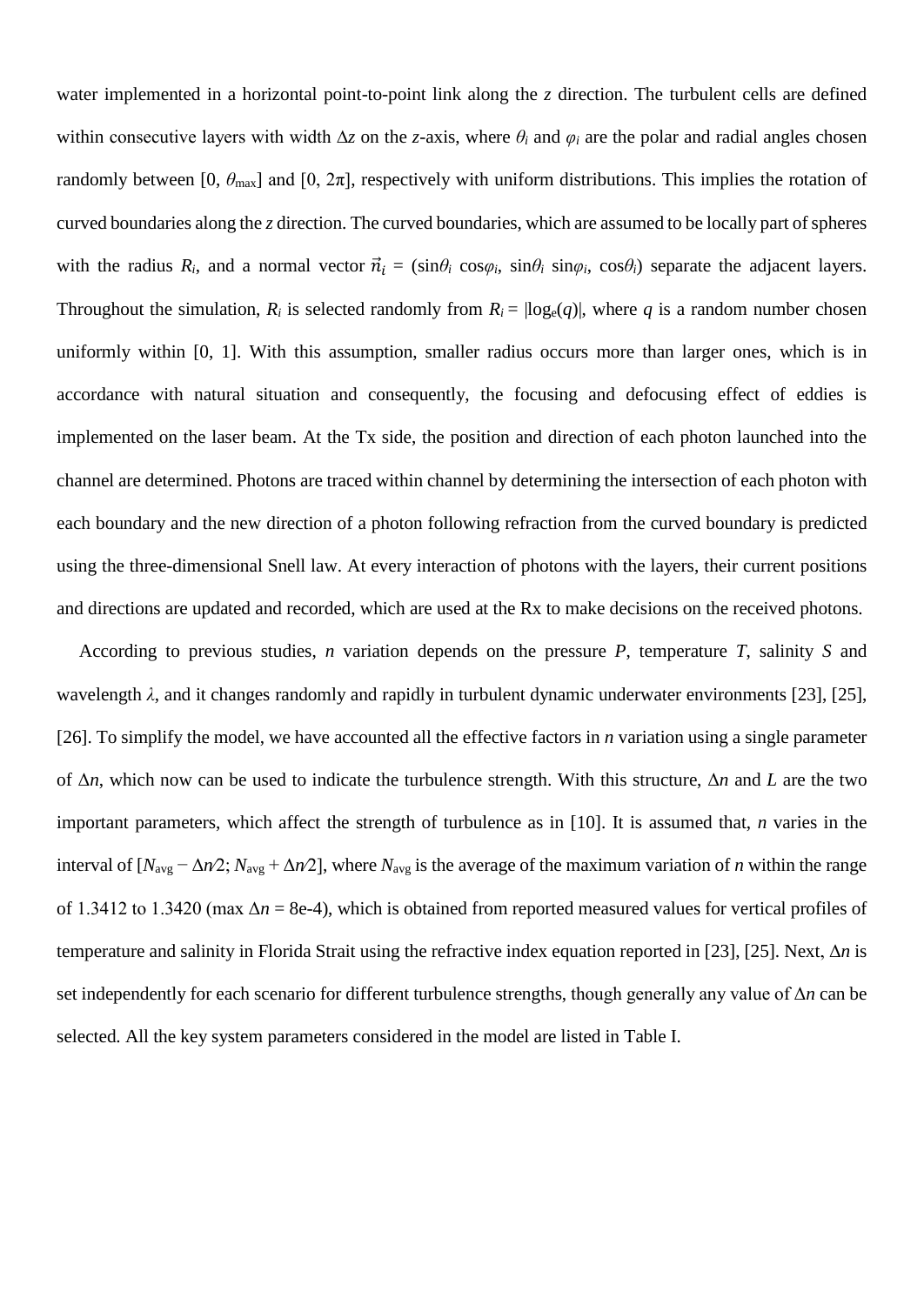water implemented in a horizontal point-to-point link along the *z* direction. The turbulent cells are defined within consecutive layers with width ∆*z* on the *z-*axis, where *θ<sup>i</sup>* and *φ<sup>i</sup>* are the polar and radial angles chosen randomly between [0,  $\theta_{\text{max}}$ ] and [0,  $2\pi$ ], respectively with uniform distributions. This implies the rotation of curved boundaries along the *z* direction. The curved boundaries, which are assumed to be locally part of spheres with the radius  $R_i$ , and a normal vector  $\vec{n}_i = (\sin \theta_i \cos \varphi_i, \sin \theta_i \sin \varphi_i, \cos \theta_i)$  separate the adjacent layers. Throughout the simulation,  $R_i$  is selected randomly from  $R_i = \log_e(q)$ , where q is a random number chosen uniformly within [0, 1]. With this assumption, smaller radius occurs more than larger ones, which is in accordance with natural situation and consequently, the focusing and defocusing effect of eddies is implemented on the laser beam. At the Tx side, the position and direction of each photon launched into the channel are determined. Photons are traced within channel by determining the intersection of each photon with each boundary and the new direction of a photon following refraction from the curved boundary is predicted using the three-dimensional Snell law. At every interaction of photons with the layers, their current positions and directions are updated and recorded, which are used at the Rx to make decisions on the received photons.

According to previous studies, *n* variation depends on the pressure *P*, temperature *T*, salinity *S* and wavelength *λ*, and it changes randomly and rapidly in turbulent dynamic underwater environments [23], [25], [26]. To simplify the model, we have accounted all the effective factors in *n* variation using a single parameter of Δ*n*, which now can be used to indicate the turbulence strength. With this structure, Δ*n* and *L* are the two important parameters, which affect the strength of turbulence as in [10]. It is assumed that, *n* varies in the interval of  $[N_{\text{avg}} - \Delta n/2; N_{\text{avg}} + \Delta n/2]$ , where  $N_{\text{avg}}$  is the average of the maximum variation of *n* within the range of 1.3412 to 1.3420 (max  $\Delta n = 8e-4$ ), which is obtained from reported measured values for vertical profiles of temperature and salinity in Florida Strait using the refractive index equation reported in [23], [25]. Next, Δ*n* is set independently for each scenario for different turbulence strengths, though generally any value of Δ*n* can be selected. All the key system parameters considered in the model are listed in Table I.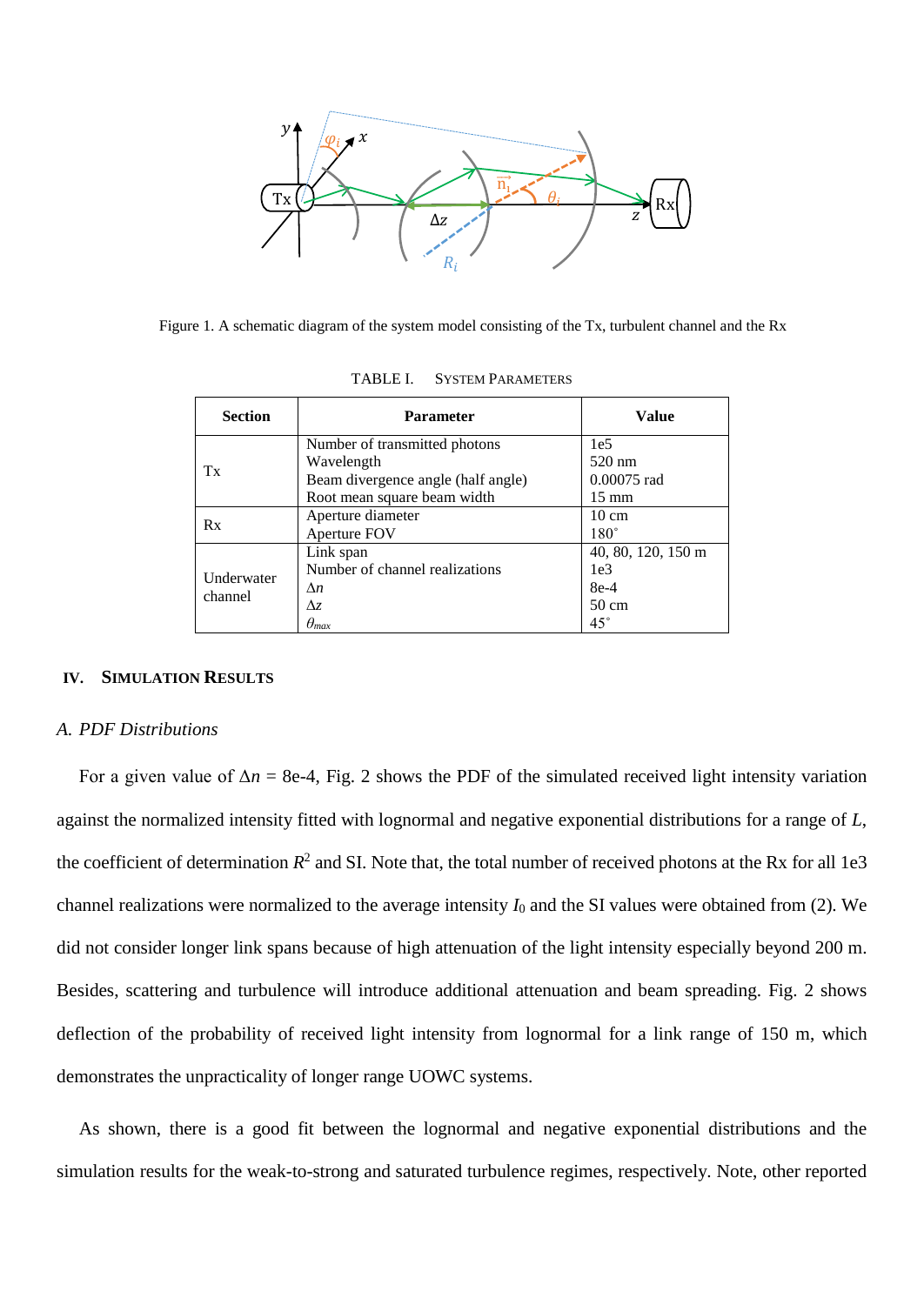

Figure 1. A schematic diagram of the system model consisting of the Tx, turbulent channel and the Rx

| <b>Section</b>        | <b>Parameter</b>                   | <b>Value</b>       |
|-----------------------|------------------------------------|--------------------|
| Tx                    | Number of transmitted photons      | 1e <sub>5</sub>    |
|                       | Wavelength                         | $520 \text{ nm}$   |
|                       | Beam divergence angle (half angle) | 0.00075 rad        |
|                       | Root mean square beam width        | $15 \text{ mm}$    |
| Rx                    | Aperture diameter                  | $10 \text{ cm}$    |
|                       | Aperture FOV                       | $180^\circ$        |
| Underwater<br>channel | Link span                          | 40, 80, 120, 150 m |
|                       | Number of channel realizations     | 1e <sub>3</sub>    |
|                       | $\Delta n$                         | $8e-4$             |
|                       | Δz                                 | $50 \text{ cm}$    |
|                       | $\theta_{max}$                     | $45^{\circ}$       |

TABLE I. SYSTEM PARAMETERS

#### **IV. SIMULATION RESULTS**

#### *A. PDF Distributions*

For a given value of  $\Delta n = 8e-4$ , Fig. 2 shows the PDF of the simulated received light intensity variation against the normalized intensity fitted with lognormal and negative exponential distributions for a range of *L*, the coefficient of determination  $R^2$  and SI. Note that, the total number of received photons at the Rx for all 1e3 channel realizations were normalized to the average intensity *I*<sup>0</sup> and the SI values were obtained from (2). We did not consider longer link spans because of high attenuation of the light intensity especially beyond 200 m. Besides, scattering and turbulence will introduce additional attenuation and beam spreading. Fig. 2 shows deflection of the probability of received light intensity from lognormal for a link range of 150 m, which demonstrates the unpracticality of longer range UOWC systems.

As shown, there is a good fit between the lognormal and negative exponential distributions and the simulation results for the weak-to-strong and saturated turbulence regimes, respectively. Note, other reported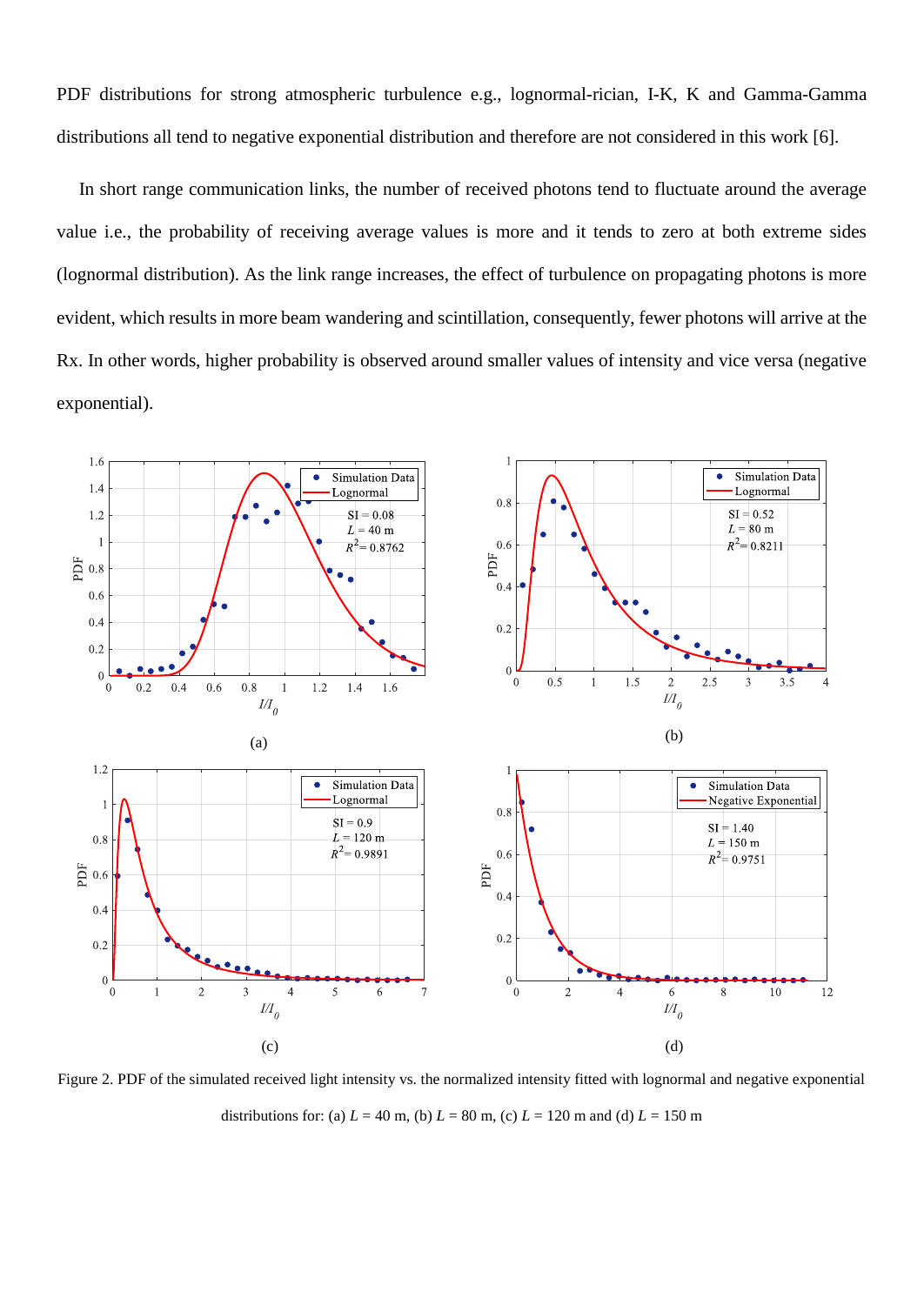PDF distributions for strong atmospheric turbulence e.g., lognormal-rician, I-K, K and Gamma-Gamma distributions all tend to negative exponential distribution and therefore are not considered in this work [6].

In short range communication links, the number of received photons tend to fluctuate around the average value i.e., the probability of receiving average values is more and it tends to zero at both extreme sides (lognormal distribution). As the link range increases, the effect of turbulence on propagating photons is more evident, which results in more beam wandering and scintillation, consequently, fewer photons will arrive at the Rx. In other words, higher probability is observed around smaller values of intensity and vice versa (negative exponential).



Figure 2. PDF of the simulated received light intensity vs. the normalized intensity fitted with lognormal and negative exponential distributions for: (a)  $L = 40$  m, (b)  $L = 80$  m, (c)  $L = 120$  m and (d)  $L = 150$  m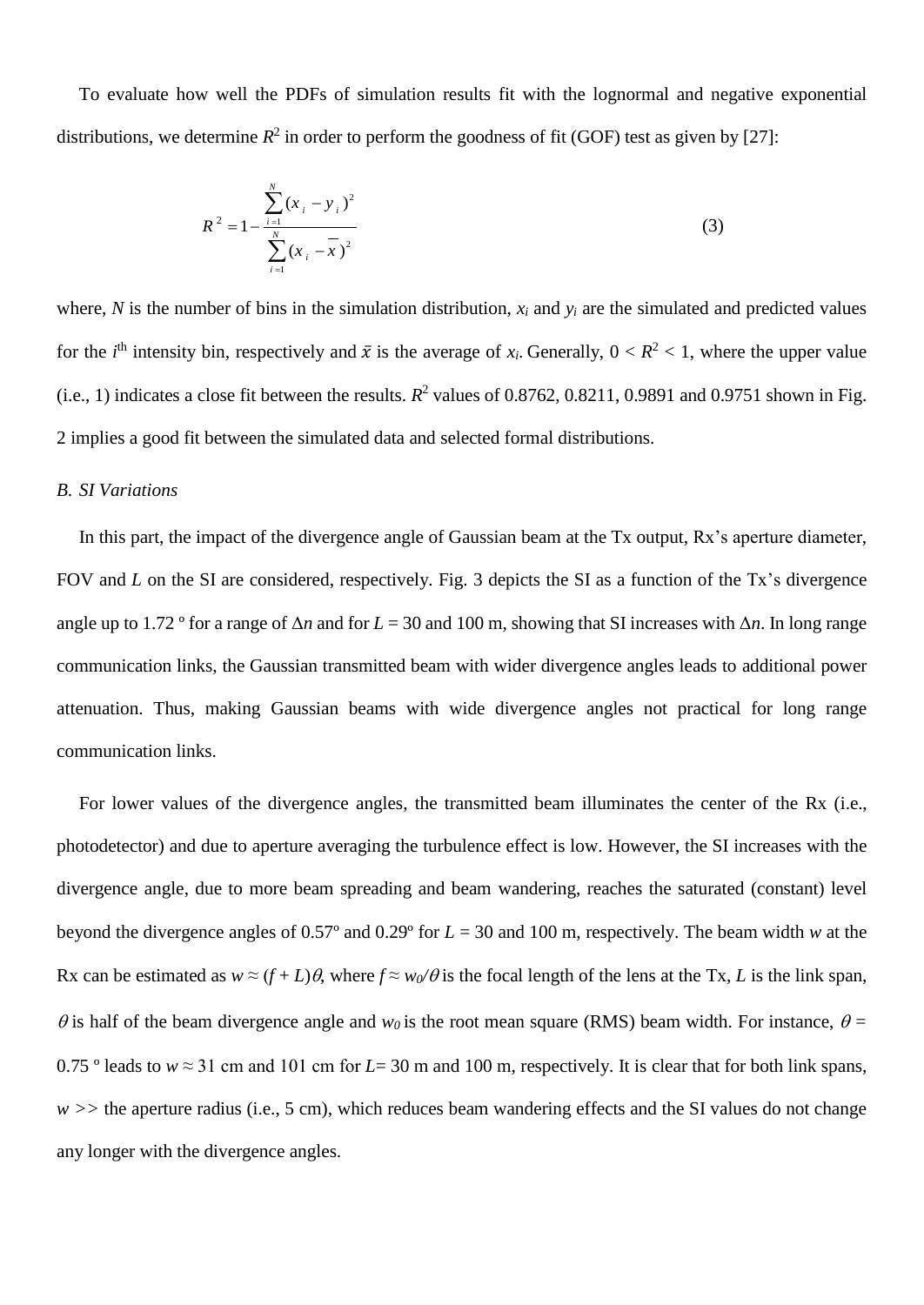To evaluate how well the PDFs of simulation results fit with the lognormal and negative exponential distributions, we determine  $R^2$  in order to perform the goodness of fit (GOF) test as given by [27]:

$$
R^{2} = 1 - \frac{\sum_{i=1}^{N} (x_{i} - y_{i})^{2}}{\sum_{i=1}^{N} (x_{i} - \overline{x})^{2}}
$$
(3)

where,  $N$  is the number of bins in the simulation distribution,  $x_i$  and  $y_i$  are the simulated and predicted values for the *i*<sup>th</sup> intensity bin, respectively and  $\bar{x}$  is the average of  $x_i$ . Generally,  $0 < R^2 < 1$ , where the upper value  $(i.e., 1)$  indicates a close fit between the results.  $R^2$  values of 0.8762, 0.8211, 0.9891 and 0.9751 shown in Fig. 2 implies a good fit between the simulated data and selected formal distributions.

## *B. SI Variations*

In this part, the impact of the divergence angle of Gaussian beam at the Tx output, Rx's aperture diameter, FOV and *L* on the SI are considered, respectively. Fig. 3 depicts the SI as a function of the Tx's divergence angle up to 1.72 º for a range of Δ*n* and for *L* = 30 and 100 m, showing that SI increases with Δ*n*. In long range communication links, the Gaussian transmitted beam with wider divergence angles leads to additional power attenuation. Thus, making Gaussian beams with wide divergence angles not practical for long range communication links.

For lower values of the divergence angles, the transmitted beam illuminates the center of the Rx (i.e., photodetector) and due to aperture averaging the turbulence effect is low. However, the SI increases with the divergence angle, due to more beam spreading and beam wandering, reaches the saturated (constant) level beyond the divergence angles of 0.57º and 0.29º for *L* = 30 and 100 m, respectively. The beam width *w* at the Rx can be estimated as  $w \approx (f + L)\theta$ , where  $f \approx w_0/\theta$  is the focal length of the lens at the Tx, *L* is the link span,  $\theta$  is half of the beam divergence angle and  $w_0$  is the root mean square (RMS) beam width. For instance,  $\theta$  = 0.75 ° leads to  $w \approx 31$  cm and 101 cm for *L*= 30 m and 100 m, respectively. It is clear that for both link spans, *w >>* the aperture radius (i.e., 5 cm), which reduces beam wandering effects and the SI values do not change any longer with the divergence angles.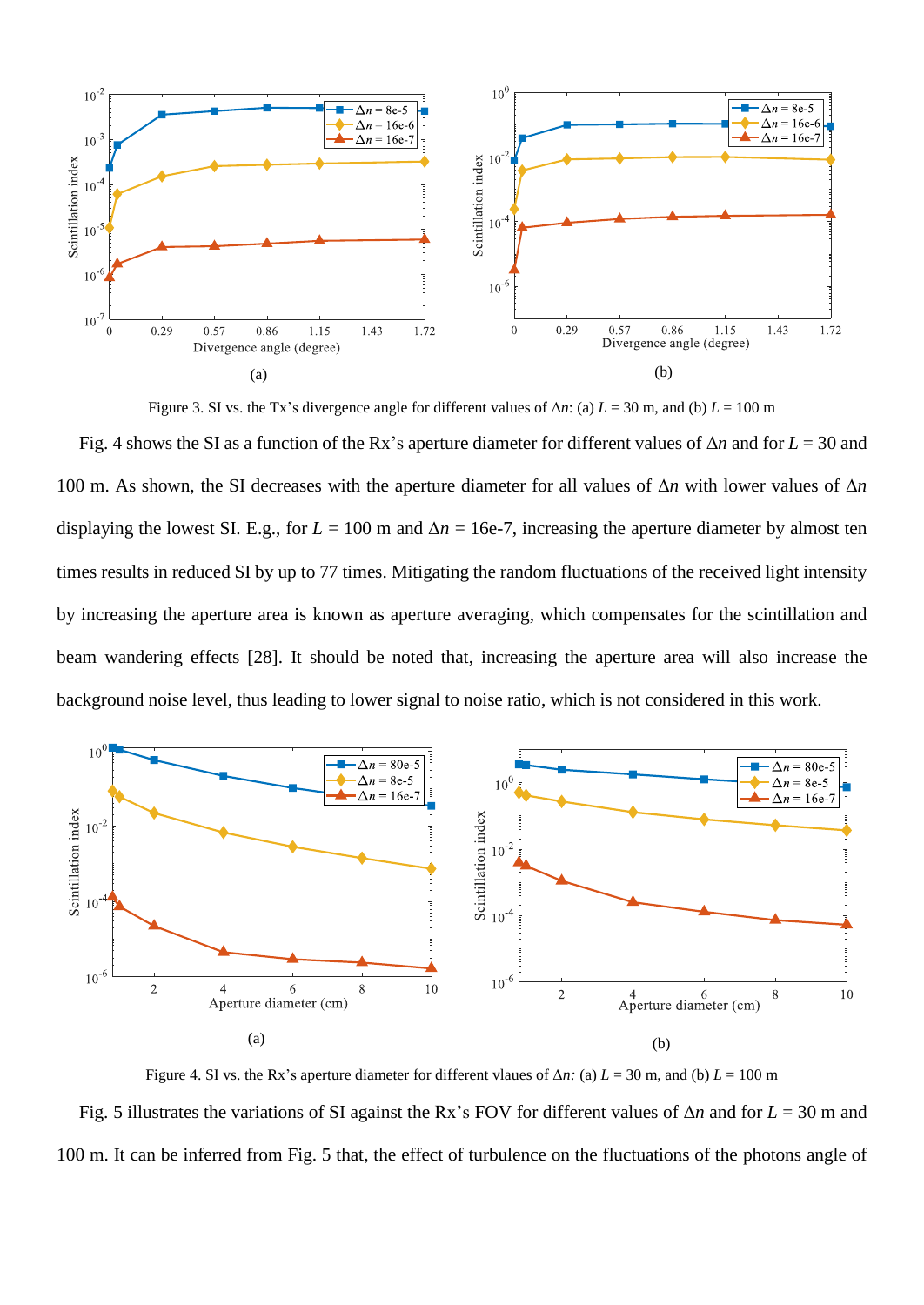

Figure 3. SI vs. the Tx's divergence angle for different values of  $\Delta n$ : (a)  $L = 30$  m, and (b)  $L = 100$  m

Fig. 4 shows the SI as a function of the Rx's aperture diameter for different values of Δ*n* and for *L* = 30 and 100 m. As shown, the SI decreases with the aperture diameter for all values of Δ*n* with lower values of Δ*n* displaying the lowest SI. E.g., for  $L = 100$  m and  $\Delta n = 16e-7$ , increasing the aperture diameter by almost ten times results in reduced SI by up to 77 times. Mitigating the random fluctuations of the received light intensity by increasing the aperture area is known as aperture averaging, which compensates for the scintillation and beam wandering effects [28]. It should be noted that, increasing the aperture area will also increase the background noise level, thus leading to lower signal to noise ratio, which is not considered in this work.



Figure 4. SI vs. the Rx's aperture diameter for different vlaues of  $\Delta n$ : (a)  $L = 30$  m, and (b)  $L = 100$  m Fig. 5 illustrates the variations of SI against the Rx's FOV for different values of Δ*n* and for *L* = 30 m and 100 m. It can be inferred from Fig. 5 that, the effect of turbulence on the fluctuations of the photons angle of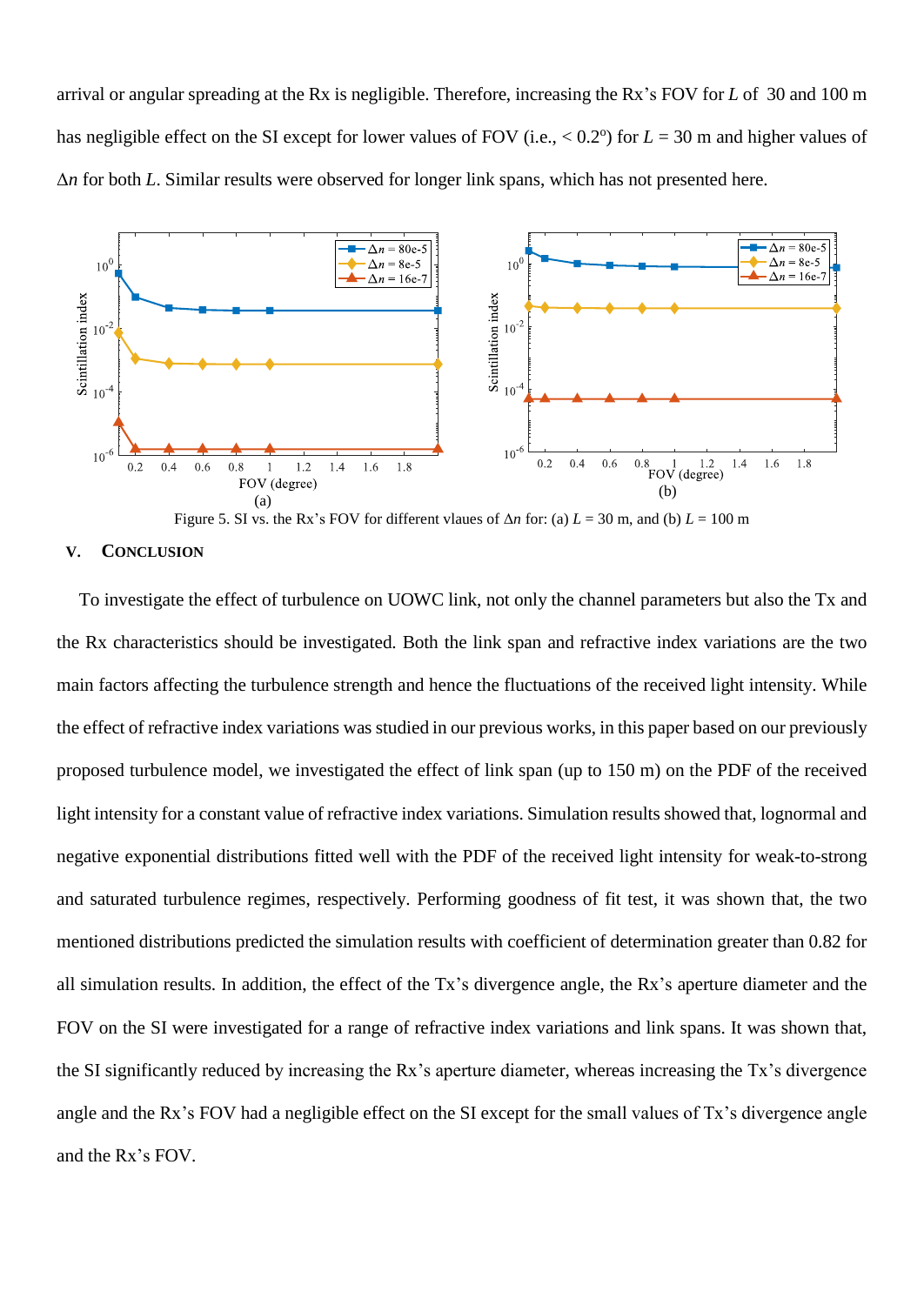arrival or angular spreading at the Rx is negligible. Therefore, increasing the Rx's FOV for *L* of 30 and 100 m has negligible effect on the SI except for lower values of FOV (i.e.,  $< 0.2^{\circ}$ ) for  $L = 30$  m and higher values of Δ*n* for both *L*. Similar results were observed for longer link spans, which has not presented here.



Figure 5. SI vs. the Rx's FOV for different vlaues of  $\Delta n$  for: (a)  $L = 30$  m, and (b)  $L = 100$  m

### **V. CONCLUSION**

To investigate the effect of turbulence on UOWC link, not only the channel parameters but also the Tx and the Rx characteristics should be investigated. Both the link span and refractive index variations are the two main factors affecting the turbulence strength and hence the fluctuations of the received light intensity. While the effect of refractive index variations was studied in our previous works, in this paper based on our previously proposed turbulence model, we investigated the effect of link span (up to 150 m) on the PDF of the received light intensity for a constant value of refractive index variations. Simulation results showed that, lognormal and negative exponential distributions fitted well with the PDF of the received light intensity for weak-to-strong and saturated turbulence regimes, respectively. Performing goodness of fit test, it was shown that, the two mentioned distributions predicted the simulation results with coefficient of determination greater than 0.82 for all simulation results. In addition, the effect of the Tx's divergence angle, the Rx's aperture diameter and the FOV on the SI were investigated for a range of refractive index variations and link spans. It was shown that, the SI significantly reduced by increasing the Rx's aperture diameter, whereas increasing the Tx's divergence angle and the Rx's FOV had a negligible effect on the SI except for the small values of Tx's divergence angle and the Rx's FOV.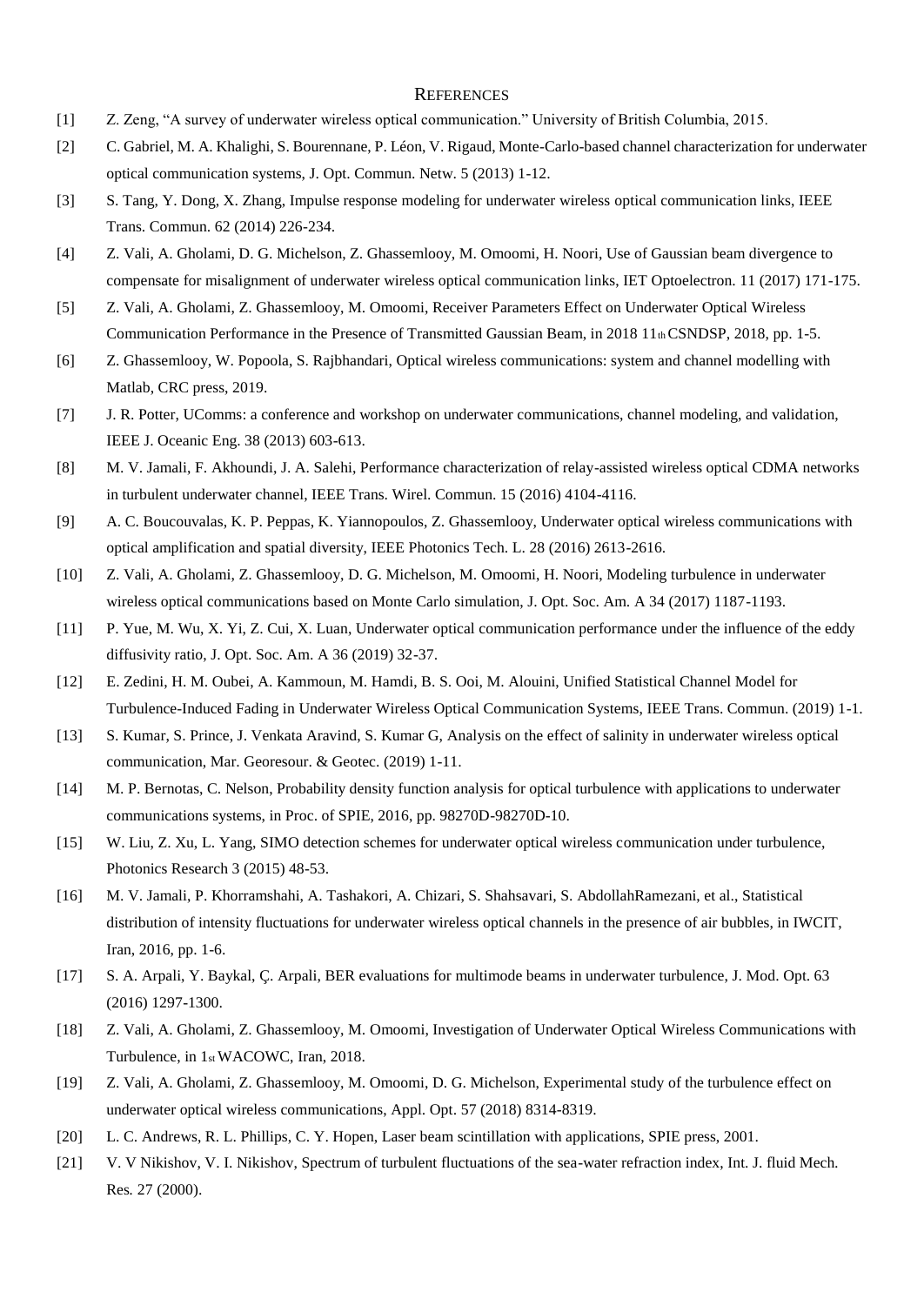#### **REFERENCES**

- [1] Z. Zeng, "A survey of underwater wireless optical communication." University of British Columbia, 2015.
- [2] C. Gabriel, M. A. Khalighi, S. Bourennane, P. Léon, V. Rigaud, Monte-Carlo-based channel characterization for underwater optical communication systems, J. Opt. Commun. Netw. 5 (2013) 1-12.
- [3] S. Tang, Y. Dong, X. Zhang, Impulse response modeling for underwater wireless optical communication links, IEEE Trans. Commun. 62 (2014) 226-234.
- [4] Z. Vali, A. Gholami, D. G. Michelson, Z. Ghassemlooy, M. Omoomi, H. Noori, Use of Gaussian beam divergence to compensate for misalignment of underwater wireless optical communication links, IET Optoelectron. 11 (2017) 171-175.
- [5] Z. Vali, A. Gholami, Z. Ghassemlooy, M. Omoomi, Receiver Parameters Effect on Underwater Optical Wireless Communication Performance in the Presence of Transmitted Gaussian Beam, in 2018 11th CSNDSP, 2018, pp. 1-5.
- [6] Z. Ghassemlooy, W. Popoola, S. Rajbhandari, Optical wireless communications: system and channel modelling with Matlab, CRC press, 2019.
- [7] J. R. Potter, UComms: a conference and workshop on underwater communications, channel modeling, and validation, IEEE J. Oceanic Eng. 38 (2013) 603-613.
- [8] M. V. Jamali, F. Akhoundi, J. A. Salehi, Performance characterization of relay-assisted wireless optical CDMA networks in turbulent underwater channel, IEEE Trans. Wirel. Commun. 15 (2016) 4104-4116.
- [9] A. C. Boucouvalas, K. P. Peppas, K. Yiannopoulos, Z. Ghassemlooy, Underwater optical wireless communications with optical amplification and spatial diversity, IEEE Photonics Tech. L. 28 (2016) 2613-2616.
- [10] Z. Vali, A. Gholami, Z. Ghassemlooy, D. G. Michelson, M. Omoomi, H. Noori, Modeling turbulence in underwater wireless optical communications based on Monte Carlo simulation, J. Opt. Soc. Am. A 34 (2017) 1187-1193.
- [11] P. Yue, M. Wu, X. Yi, Z. Cui, X. Luan, Underwater optical communication performance under the influence of the eddy diffusivity ratio, J. Opt. Soc. Am. A 36 (2019) 32-37.
- [12] E. Zedini, H. M. Oubei, A. Kammoun, M. Hamdi, B. S. Ooi, M. Alouini, Unified Statistical Channel Model for Turbulence-Induced Fading in Underwater Wireless Optical Communication Systems, IEEE Trans. Commun. (2019) 1-1.
- [13] S. Kumar, S. Prince, J. Venkata Aravind, S. Kumar G, Analysis on the effect of salinity in underwater wireless optical communication, Mar. Georesour. & Geotec. (2019) 1-11.
- [14] M. P. Bernotas, C. Nelson, Probability density function analysis for optical turbulence with applications to underwater communications systems, in Proc. of SPIE, 2016, pp. 98270D-98270D-10.
- [15] W. Liu, Z. Xu, L. Yang, SIMO detection schemes for underwater optical wireless communication under turbulence, Photonics Research 3 (2015) 48-53.
- [16] M. V. Jamali, P. Khorramshahi, A. Tashakori, A. Chizari, S. Shahsavari, S. AbdollahRamezani, et al., Statistical distribution of intensity fluctuations for underwater wireless optical channels in the presence of air bubbles, in IWCIT, Iran, 2016, pp. 1-6.
- [17] S. A. Arpali, Y. Baykal, Ç. Arpali, BER evaluations for multimode beams in underwater turbulence, J. Mod. Opt. 63 (2016) 1297-1300.
- [18] Z. Vali, A. Gholami, Z. Ghassemlooy, M. Omoomi, Investigation of Underwater Optical Wireless Communications with Turbulence, in 1st WACOWC, Iran, 2018.
- [19] Z. Vali, A. Gholami, Z. Ghassemlooy, M. Omoomi, D. G. Michelson, Experimental study of the turbulence effect on underwater optical wireless communications, Appl. Opt. 57 (2018) 8314-8319.
- [20] L. C. Andrews, R. L. Phillips, C. Y. Hopen, Laser beam scintillation with applications, SPIE press, 2001.
- [21] V. V Nikishov, V. I. Nikishov, Spectrum of turbulent fluctuations of the sea-water refraction index, Int. J. fluid Mech*.*  Res*.* 27 (2000).